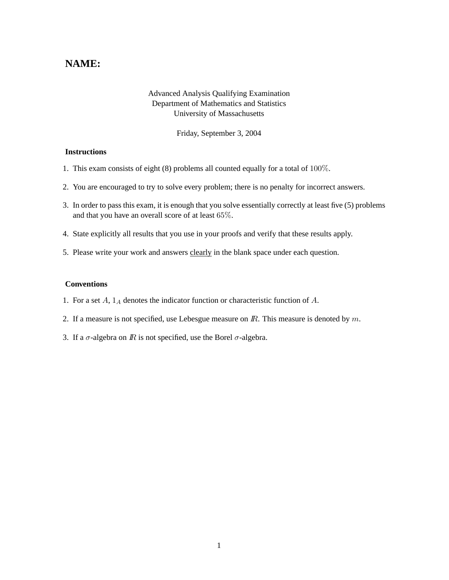## **NAME:**

## Advanced Analysis Qualifying Examination Department of Mathematics and Statistics University of Massachusetts

Friday, September 3, 2004

## **Instructions**

- 1. This exam consists of eight (8) problems all counted equally for a total of 100%.
- 2. You are encouraged to try to solve every problem; there is no penalty for incorrect answers.
- 3. In order to pass this exam, it is enough that you solve essentially correctly at least five (5) problems and that you have an overall score of at least 65%.
- 4. State explicitly all results that you use in your proofs and verify that these results apply.
- 5. Please write your work and answers clearly in the blank space under each question.

## **Conventions**

- 1. For a set  $A$ ,  $1_A$  denotes the indicator function or characteristic function of  $A$ .
- 2. If a measure is not specified, use Lebesgue measure on  $\mathbb{R}$ . This measure is denoted by  $m$ .
- 3. If a  $\sigma$ -algebra on  $\mathbb R$  is not specified, use the Borel  $\sigma$ -algebra.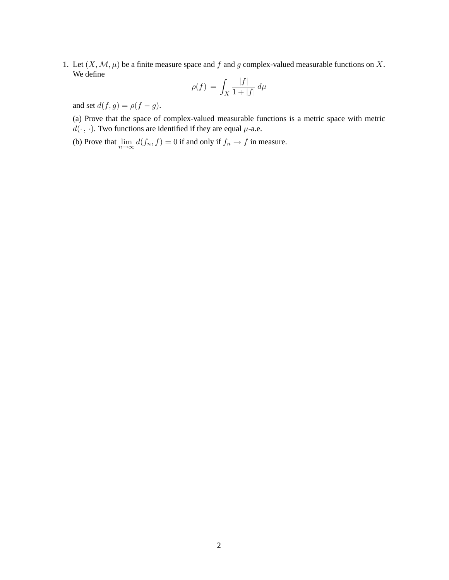1. Let  $(X, \mathcal{M}, \mu)$  be a finite measure space and f and g complex-valued measurable functions on X. We define

$$
\rho(f) = \int_X \frac{|f|}{1+|f|} d\mu
$$

and set  $d(f, g) = \rho(f - g)$ .

(a) Prove that the space of complex-valued measurable functions is a metric space with metric  $d(\cdot, \cdot)$ . Two functions are identified if they are equal  $\mu$ -a.e.

(b) Prove that  $\lim_{n\to\infty} d(f_n, f) = 0$  if and only if  $f_n \to f$  in measure.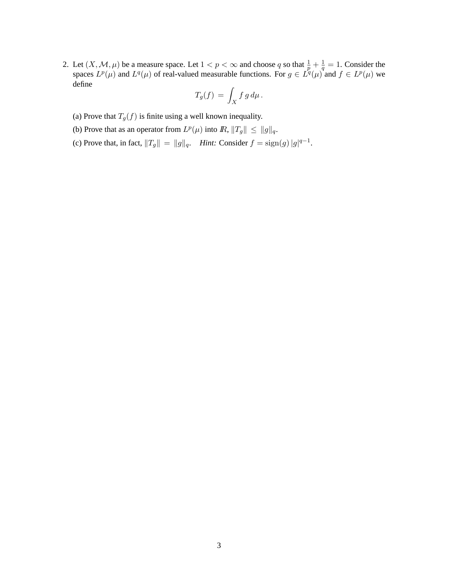2. Let  $(X, \mathcal{M}, \mu)$  be a measure space. Let  $1 < p < \infty$  and choose q so that  $\frac{1}{p} + \frac{1}{q}$  $\frac{1}{q} = 1$ . Consider the spaces  $L^p(\mu)$  and  $L^q(\mu)$  of real-valued measurable functions. For  $g \in L^q(\mu)$  and  $f \in L^p(\mu)$  we define

$$
T_g(f) = \int_X f g d\mu.
$$

- (a) Prove that  $T_q(f)$  is finite using a well known inequality.
- (b) Prove that as an operator from  $L^p(\mu)$  into  $\mathbb{R}, ||T_g|| \le ||g||_q$ .
- (c) Prove that, in fact,  $||T_g|| = ||g||_q$ . *Hint:* Consider  $f = \text{sign}(g) |g|^{q-1}$ .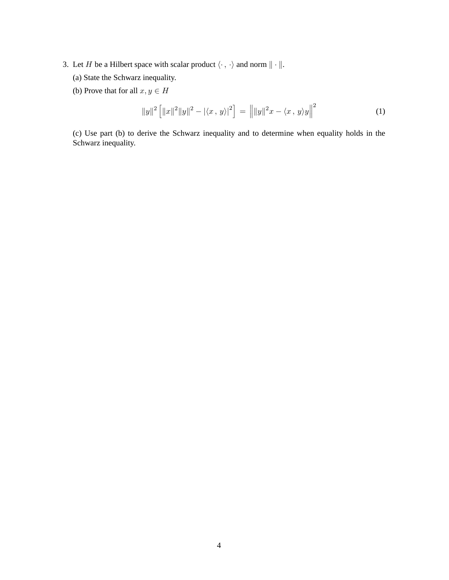- 3. Let H be a Hilbert space with scalar product  $\langle \cdot , \cdot \rangle$  and norm  $\| \cdot \|$ .
	- (a) State the Schwarz inequality.
	- (b) Prove that for all  $x, y \in H$

$$
||y||2 [||x||2 ||y||2 - |\langle x, y \rangle|2] = ||||y||2x - \langle x, y \rangle y||2
$$
 (1)

(c) Use part (b) to derive the Schwarz inequality and to determine when equality holds in the Schwarz inequality.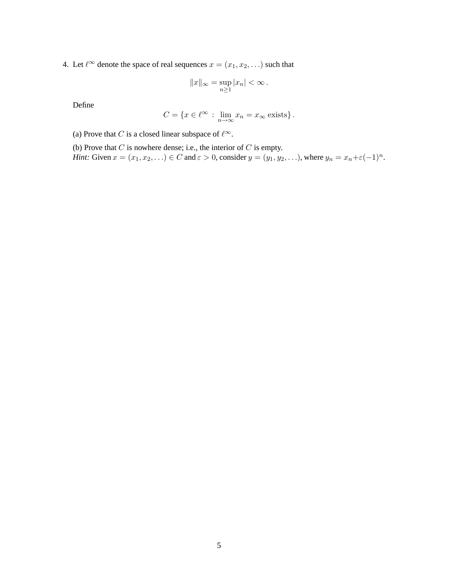4. Let  $\ell^{\infty}$  denote the space of real sequences  $x = (x_1, x_2, ...)$  such that

$$
||x||_{\infty} = \sup_{n \ge 1} |x_n| < \infty \, .
$$

Define

$$
C = \{ x \in \ell^{\infty} : \lim_{n \to \infty} x_n = x_{\infty} \text{ exists} \}.
$$

(a) Prove that C is a closed linear subspace of  $\ell^{\infty}$ .

(b) Prove that  $C$  is nowhere dense; i.e., the interior of  $C$  is empty.

*Hint:* Given  $x = (x_1, x_2, \ldots) \in C$  and  $\varepsilon > 0$ , consider  $y = (y_1, y_2, \ldots)$ , where  $y_n = x_n + \varepsilon(-1)^n$ .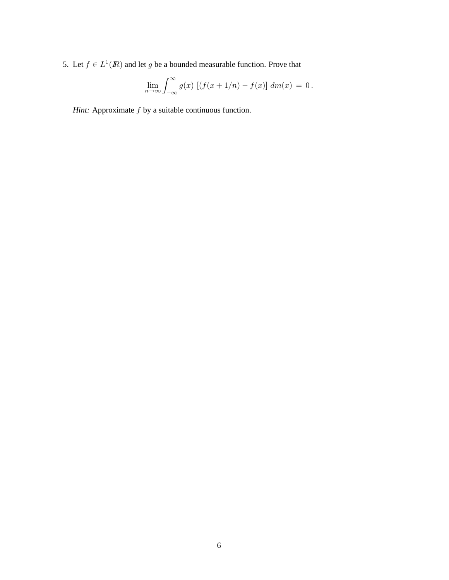5. Let  $f \in L^1(\mathbb{R})$  and let g be a bounded measurable function. Prove that

$$
\lim_{n \to \infty} \int_{-\infty}^{\infty} g(x) \left[ \left( f(x + 1/n) - f(x) \right) dm(x) = 0 \right].
$$

*Hint:* Approximate  $f$  by a suitable continuous function.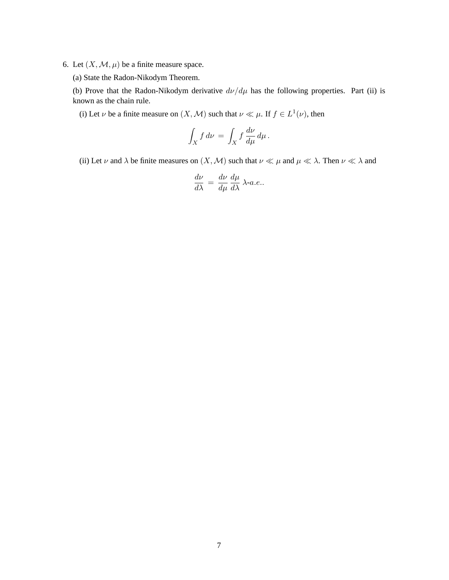- 6. Let  $(X, \mathcal{M}, \mu)$  be a finite measure space.
	- (a) State the Radon-Nikodym Theorem.

(b) Prove that the Radon-Nikodym derivative  $d\nu/d\mu$  has the following properties. Part (ii) is known as the chain rule.

(i) Let  $\nu$  be a finite measure on  $(X, \mathcal{M})$  such that  $\nu \ll \mu$ . If  $f \in L^1(\nu)$ , then

$$
\int_X f \, d\nu = \int_X f \, \frac{d\nu}{d\mu} \, d\mu \, .
$$

(ii) Let  $\nu$  and  $\lambda$  be finite measures on  $(X, M)$  such that  $\nu \ll \mu$  and  $\mu \ll \lambda$ . Then  $\nu \ll \lambda$  and

$$
\frac{d\nu}{d\lambda} = \frac{d\nu}{d\mu} \frac{d\mu}{d\lambda} \lambda \text{-} a.e..
$$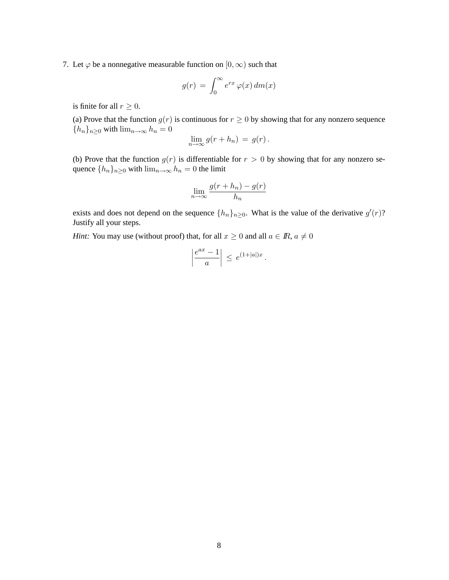7. Let  $\varphi$  be a nonnegative measurable function on  $[0, \infty)$  such that

$$
g(r) = \int_0^\infty e^{rx} \varphi(x) \, dm(x)
$$

is finite for all  $r \geq 0$ .

(a) Prove that the function  $g(r)$  is continuous for  $r \geq 0$  by showing that for any nonzero sequence  ${h_n}_{n\geq 0}$  with  $\lim_{n\to\infty} h_n = 0$ 

$$
\lim_{n\to\infty} g(r+h_n) = g(r).
$$

(b) Prove that the function  $g(r)$  is differentiable for  $r > 0$  by showing that for any nonzero sequence  $\{h_n\}_{n\geq 0}$  with  $\lim_{n\to\infty} h_n = 0$  the limit

$$
\lim_{n \to \infty} \frac{g(r + h_n) - g(r)}{h_n}
$$

exists and does not depend on the sequence  $\{h_n\}_{n\geq 0}$ . What is the value of the derivative  $g'(r)$ ? Justify all your steps.

*Hint:* You may use (without proof) that, for all  $x \ge 0$  and all  $a \in \mathbb{R}$ ,  $a \ne 0$ 

$$
\left|\frac{e^{ax}-1}{a}\right| \, \leq \, e^{(1+|a|)x} \, .
$$